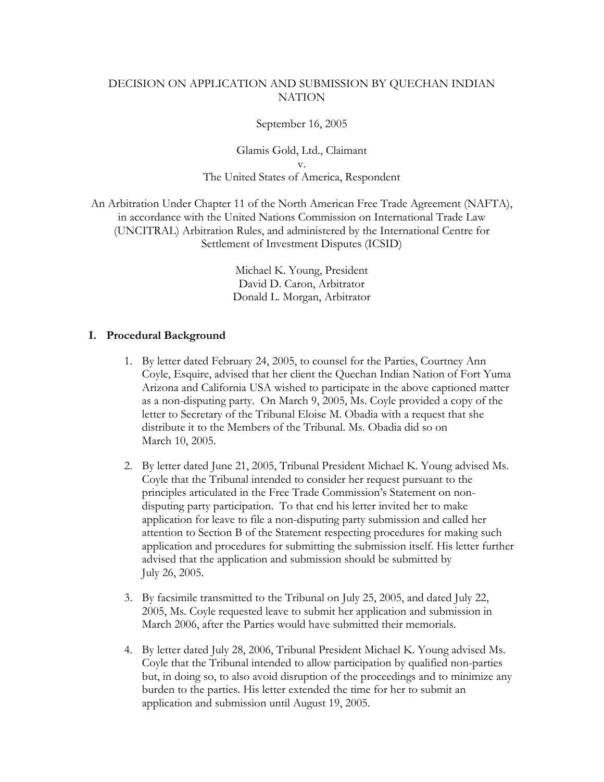## DECISION ON APPLICATION AND SUBMISSION BY QUECHAN INDIAN **NATION**

September 16, 2005

Glamis Gold, Ltd., Claimant v. The United States of America, Respondent

An Arbitration Under Chapter 11 of the North American Free Trade Agreement (NAFTA), in accordance with the United Nations Commission on International Trade Law (UNCITRAL) Arbitration Rules, and administered by the International Centre for Settlement of Investment Disputes (ICSID)

> Michael K. Young, President David D. Caron, Arbitrator Donald L. Morgan, Arbitrator

## **I. Procedural Background**

- 1. By letter dated February 24, 2005, to counsel for the Parties, Courtney Ann Coyle, Esquire, advised that her client the Quechan Indian Nation of Fort Yuma Arizona and California USA wished to participate in the above captioned matter as a non-disputing party. On March 9, 2005, Ms. Coyle provided a copy of the letter to Secretary of the Tribunal Eloise M. Obadia with a request that she distribute it to the Members of the Tribunal. Ms. Obadia did so on March 10, 2005.
- 2. By letter dated June 21, 2005, Tribunal President Michael K. Young advised Ms. Coyle that the Tribunal intended to consider her request pursuant to the principles articulated in the Free Trade Commission's Statement on nondisputing party participation. To that end his letter invited her to make application for leave to file a non-disputing party submission and called her attention to Section B of the Statement respecting procedures for making such application and procedures for submitting the submission itself. His letter further advised that the application and submission should be submitted by July 26, 2005.
- 3. By facsimile transmitted to the Tribunal on July 25, 2005, and dated July 22, 2005, Ms. Coyle requested leave to submit her application and submission in March 2006, after the Parties would have submitted their memorials.
- 4. By letter dated July 28, 2006, Tribunal President Michael K. Young advised Ms. Coyle that the Tribunal intended to allow participation by qualified non-parties but, in doing so, to also avoid disruption of the proceedings and to minimize any burden to the parties. His letter extended the time for her to submit an application and submission until August 19, 2005.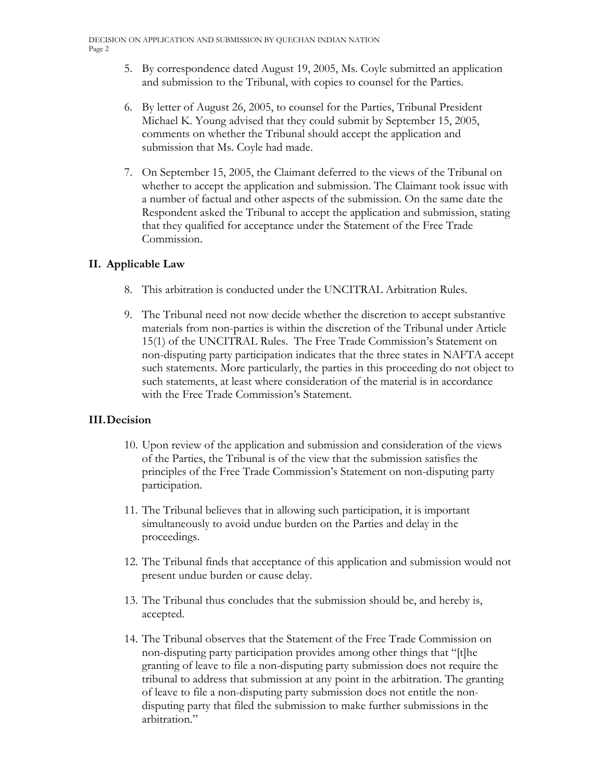- 5. By correspondence dated August 19, 2005, Ms. Coyle submitted an application and submission to the Tribunal, with copies to counsel for the Parties.
- 6. By letter of August 26, 2005, to counsel for the Parties, Tribunal President Michael K. Young advised that they could submit by September 15, 2005, comments on whether the Tribunal should accept the application and submission that Ms. Coyle had made.
- 7. On September 15, 2005, the Claimant deferred to the views of the Tribunal on whether to accept the application and submission. The Claimant took issue with a number of factual and other aspects of the submission. On the same date the Respondent asked the Tribunal to accept the application and submission, stating that they qualified for acceptance under the Statement of the Free Trade Commission.

## **II. Applicable Law**

- 8. This arbitration is conducted under the UNCITRAL Arbitration Rules.
- 9. The Tribunal need not now decide whether the discretion to accept substantive materials from non-parties is within the discretion of the Tribunal under Article 15(1) of the UNCITRAL Rules. The Free Trade Commission's Statement on non-disputing party participation indicates that the three states in NAFTA accept such statements. More particularly, the parties in this proceeding do not object to such statements, at least where consideration of the material is in accordance with the Free Trade Commission's Statement.

## **III. Decision**

- 10. Upon review of the application and submission and consideration of the views of the Parties, the Tribunal is of the view that the submission satisfies the principles of the Free Trade Commission's Statement on non-disputing party participation.
- 11. The Tribunal believes that in allowing such participation, it is important simultaneously to avoid undue burden on the Parties and delay in the proceedings.
- 12. The Tribunal finds that acceptance of this application and submission would not present undue burden or cause delay.
- 13. The Tribunal thus concludes that the submission should be, and hereby is, accepted.
- 14. The Tribunal observes that the Statement of the Free Trade Commission on non-disputing party participation provides among other things that "[t]he granting of leave to file a non-disputing party submission does not require the tribunal to address that submission at any point in the arbitration. The granting of leave to file a non-disputing party submission does not entitle the nondisputing party that filed the submission to make further submissions in the arbitration."